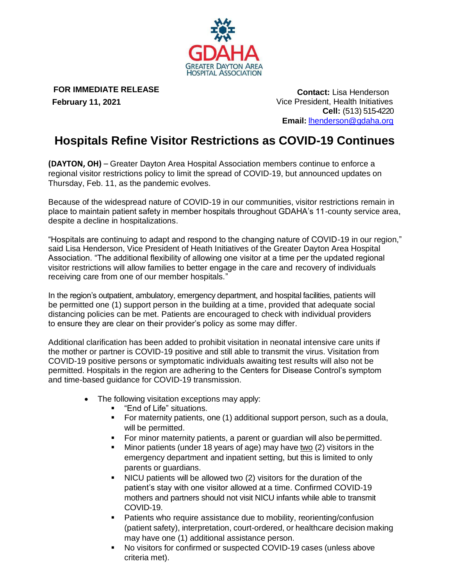

**FOR IMMEDIATE RELEASE**

 **February 11, 2021**

 **Contact:** Lisa Henderson Vice President, Health Initiatives **Cell:** (513) 515-4220 **Email:** [lhenderson@gdaha.org](mailto:lhenderson@gdaha.org)

## **Hospitals Refine Visitor Restrictions as COVID-19 Continues**

**(DAYTON, OH)** – Greater Dayton Area Hospital Association members continue to enforce a regional visitor restrictions policy to limit the spread of COVID-19, but announced updates on Thursday, Feb. 11, as the pandemic evolves.

Because of the widespread nature of COVID-19 in our communities, visitor restrictions remain in place to maintain patient safety in member hospitals throughout GDAHA's 11-county service area, despite a decline in hospitalizations.

"Hospitals are continuing to adapt and respond to the changing nature of COVID-19 in our region," said Lisa Henderson, Vice President of Heath Initiatives of the Greater Dayton Area Hospital Association. "The additional flexibility of allowing one visitor at a time per the updated regional visitor restrictions will allow families to better engage in the care and recovery of individuals receiving care from one of our member hospitals."

In the region's outpatient, ambulatory, emergency department, and hospital facilities, patients will be permitted one (1) support person in the building at a time, provided that adequate social distancing policies can be met. Patients are encouraged to check with individual providers to ensure they are clear on their provider's policy as some may differ.

Additional clarification has been added to prohibit visitation in neonatal intensive care units if the mother or partner is COVID-19 positive and still able to transmit the virus. Visitation from COVID-19 positive persons or symptomatic individuals awaiting test results will also not be permitted. Hospitals in the region are adhering to the Centers for Disease Control's symptom and time-based guidance for COVID-19 transmission.

- The following visitation exceptions may apply:
	- "End of Life" situations.
	- For maternity patients, one (1) additional support person, such as a doula, will be permitted.
	- For minor maternity patients, a parent or guardian will also be permitted.
	- **■** Minor patients (under 18 years of age) may have two (2) visitors in the emergency department and inpatient setting, but this is limited to only parents or guardians.
	- NICU patients will be allowed two (2) visitors for the duration of the patient's stay with one visitor allowed at a time. Confirmed COVID-19 mothers and partners should not visit NICU infants while able to transmit COVID-19.
	- Patients who require assistance due to mobility, reorienting/confusion (patient safety), interpretation, court-ordered, or healthcare decision making may have one (1) additional assistance person.
	- No visitors for confirmed or suspected COVID-19 cases (unless above criteria met).